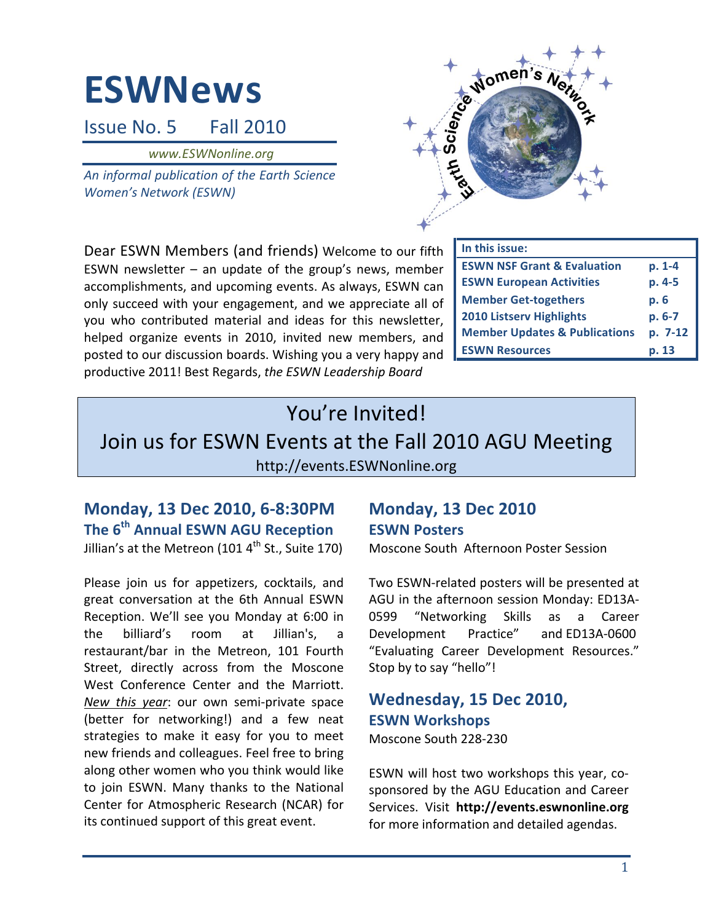# **ESWNews**

Issue No. 5 **Fall 2010** 

www.ESWNonline.org

An informal publication of the Earth Science **Women's Network (ESWN)** 



Dear ESWN Members (and friends) Welcome to our fifth ESWN newsletter  $-$  an update of the group's news, member accomplishments, and upcoming events. As always, ESWN can only succeed with your engagement, and we appreciate all of you who contributed material and ideas for this newsletter, helped organize events in 2010, invited new members, and posted to our discussion boards. Wishing you a very happy and productive 2011! Best Regards, the ESWN Leadership Board

| In this issue:                           |         |
|------------------------------------------|---------|
| <b>ESWN NSF Grant &amp; Evaluation</b>   | p. 1-4  |
| <b>ESWN European Activities</b>          | p. 4-5  |
| <b>Member Get-togethers</b>              | p. 6    |
| <b>2010 Listserv Highlights</b>          | p. 6-7  |
| <b>Member Updates &amp; Publications</b> | p. 7-12 |
| <b>ESWN Resources</b>                    | p. 13   |

# You're Invited!

# Join us for ESWN Events at the Fall 2010 AGU Meeting http://events.ESWNonline.org

## Monday, 13 Dec 2010, 6-8:30PM The 6<sup>th</sup> Annual ESWN AGU Reception Jillian's at the Metreon (101 4<sup>th</sup> St., Suite 170)

Please join us for appetizers, cocktails, and great conversation at the 6th Annual ESWN Reception. We'll see you Monday at 6:00 in the billiard's room at Jillian's. a. restaurant/bar in the Metreon, 101 Fourth Street, directly across from the Moscone West Conference Center and the Marriott. New this year: our own semi-private space (better for networking!) and a few neat strategies to make it easy for you to meet new friends and colleagues. Feel free to bring along other women who you think would like to join ESWN. Many thanks to the National Center for Atmospheric Research (NCAR) for its continued support of this great event.

# **Monday, 13 Dec 2010 ESWN Posters**

Moscone South Afternoon Poster Session

Two ESWN-related posters will be presented at AGU in the afternoon session Monday: ED13A-0599 "Networking Career **Skills** as a Development Practice" and ED13A-0600 "Evaluating Career Development Resources." Stop by to say "hello"!

# Wednesday, 15 Dec 2010, **ESWN Workshops**

Moscone South 228-230

ESWN will host two workshops this year, cosponsored by the AGU Education and Career Services. Visit http://events.eswnonline.org for more information and detailed agendas.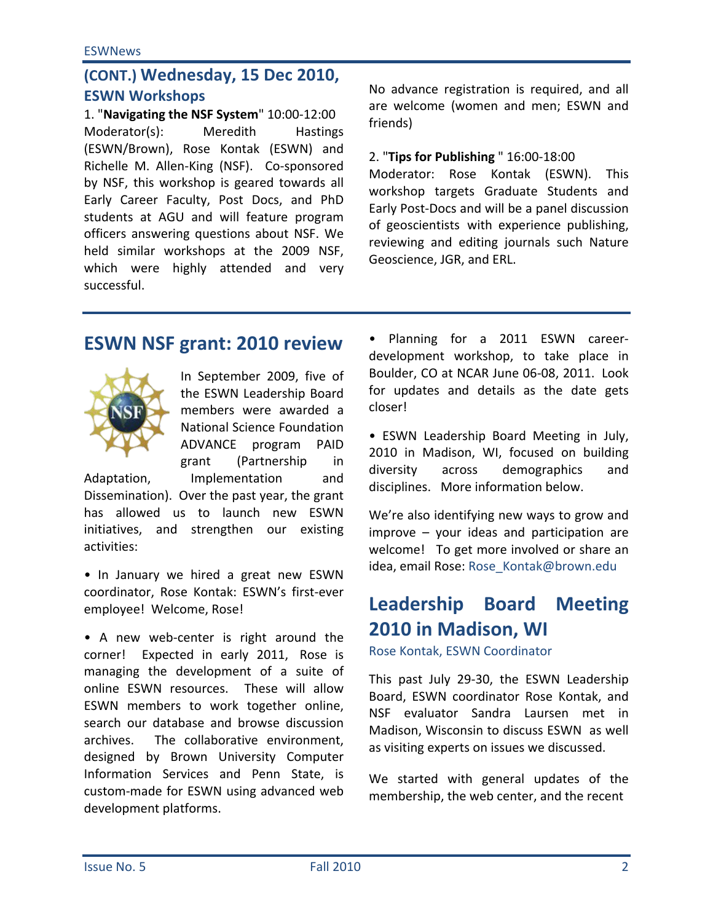# (CONT.) Wednesday, 15 Dec 2010, **ESWN Workshops**

1. "Navigating the NSF System" 10:00-12:00 Moderator(s): **Meredith Hastings** (ESWN/Brown), Rose Kontak (ESWN) and Richelle M. Allen-King (NSF). Co-sponsored by NSF, this workshop is geared towards all Early Career Faculty, Post Docs, and PhD students at AGU and will feature program officers answering questions about NSF. We held similar workshops at the 2009 NSF, which were highly attended and very successful.

No advance registration is required, and all are welcome (women and men; ESWN and friends)

#### 2. "Tips for Publishing " 16:00-18:00

Moderator: Rose Kontak (ESWN). **This** workshop targets Graduate Students and Early Post-Docs and will be a panel discussion of geoscientists with experience publishing, reviewing and editing journals such Nature Geoscience, JGR, and ERL.

# **ESWN NSF grant: 2010 review**



In September 2009, five of the ESWN Leadership Board members were awarded a **National Science Foundation** ADVANCE program PAID grant (Partnership in Implementation and

Adaptation,

Dissemination). Over the past year, the grant has allowed us to launch new ESWN initiatives, and strengthen our existing activities:

. In January we hired a great new ESWN coordinator, Rose Kontak: ESWN's first-ever employee! Welcome, Rose!

• A new web-center is right around the corner! Expected in early 2011, Rose is managing the development of a suite of online ESWN resources. These will allow ESWN members to work together online, search our database and browse discussion The collaborative environment, archives. designed by Brown University Computer Information Services and Penn State, is custom-made for ESWN using advanced web development platforms.

· Planning for a 2011 ESWN careerdevelopment workshop, to take place in Boulder, CO at NCAR June 06-08, 2011. Look for updates and details as the date gets closer!

• ESWN Leadership Board Meeting in July, 2010 in Madison, WI, focused on building diversity across demographics and disciplines. More information below.

We're also identifying new ways to grow and improve  $-$  your ideas and participation are welcome! To get more involved or share an idea, email Rose: Rose Kontak@brown.edu

# **Leadership Board Meeting** 2010 in Madison, WI

Rose Kontak, ESWN Coordinator

This past July 29-30, the ESWN Leadership Board, ESWN coordinator Rose Kontak, and NSE evaluator Sandra Laursen met in Madison, Wisconsin to discuss ESWN as well as visiting experts on issues we discussed.

We started with general updates of the membership, the web center, and the recent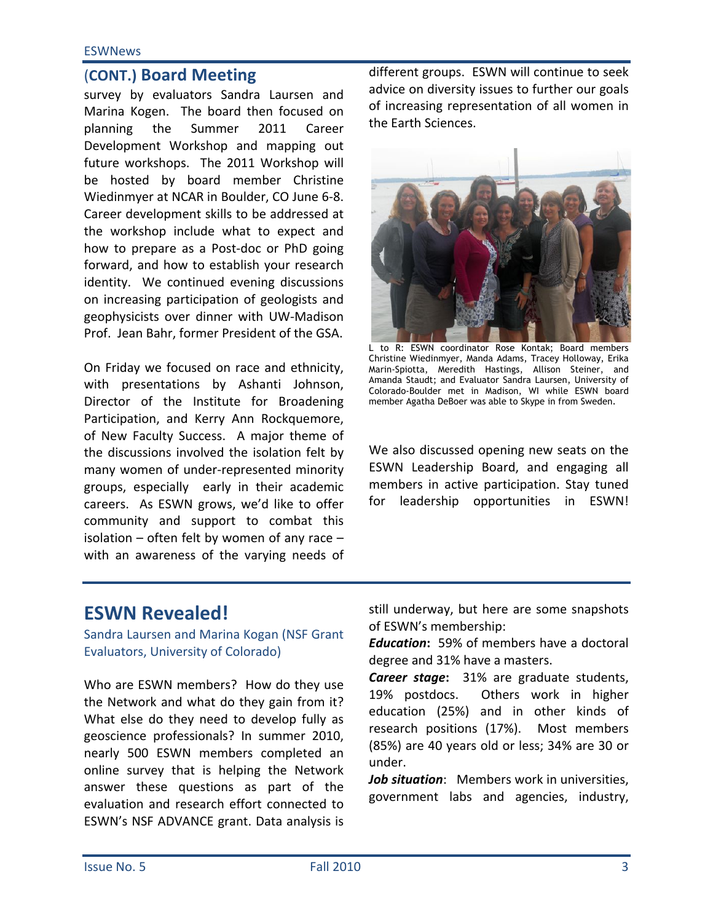#### **ESWNews**

## (CONT.) Board Meeting

survey by evaluators Sandra Laursen and Marina Kogen. The board then focused on 2011 planning the Summer Career Development Workshop and mapping out future workshops. The 2011 Workshop will be hosted by board member Christine Wiedinmyer at NCAR in Boulder, CO June 6-8. Career development skills to be addressed at the workshop include what to expect and how to prepare as a Post-doc or PhD going forward, and how to establish your research identity. We continued evening discussions on increasing participation of geologists and geophysicists over dinner with UW-Madison Prof. Jean Bahr, former President of the GSA.

On Friday we focused on race and ethnicity, with presentations by Ashanti Johnson, Director of the Institute for Broadening Participation, and Kerry Ann Rockquemore, of New Faculty Success. A major theme of the discussions involved the isolation felt by many women of under-represented minority groups, especially early in their academic careers. As ESWN grows, we'd like to offer community and support to combat this isolation  $-$  often felt by women of any race  $$ with an awareness of the varying needs of

different groups. ESWN will continue to seek advice on diversity issues to further our goals of increasing representation of all women in the Earth Sciences.



L to R: ESWN coordinator Rose Kontak; Board members Christine Wiedinmyer, Manda Adams, Tracey Holloway, Erika Marin-Spiotta, Meredith Hastings, Allison Steiner, and Amanda Staudt; and Evaluator Sandra Laursen, University of Colorado-Boulder met in Madison, WI while ESWN board member Agatha DeBoer was able to Skype in from Sweden.

We also discussed opening new seats on the ESWN Leadership Board, and engaging all members in active participation. Stay tuned for leadership opportunities in ESWN!

## **ESWN Revealed!**

Sandra Laursen and Marina Kogan (NSF Grant Evaluators, University of Colorado)

Who are ESWN members? How do they use the Network and what do they gain from it? What else do they need to develop fully as geoscience professionals? In summer 2010, nearly 500 ESWN members completed an online survey that is helping the Network answer these questions as part of the evaluation and research effort connected to ESWN's NSF ADVANCE grant. Data analysis is still underway, but here are some snapshots of ESWN's membership:

**Education:** 59% of members have a doctoral degree and 31% have a masters.

**Career stage:** 31% are graduate students, Others work in higher 19% postdocs. education (25%) and in other kinds of research positions (17%). Most members (85%) are 40 years old or less; 34% are 30 or under.

Job situation: Members work in universities, government labs and agencies, industry,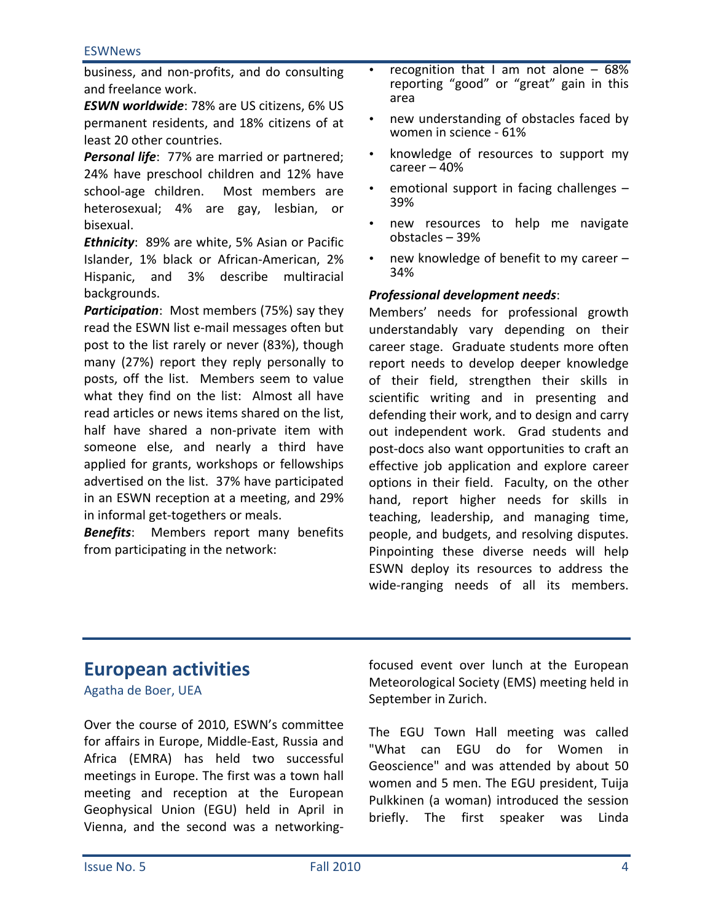business, and non-profits, and do consulting and freelance work.

**ESWN worldwide: 78% are US citizens, 6% US** permanent residents, and 18% citizens of at least 20 other countries.

**Personal life:** 77% are married or partnered; 24% have preschool children and 12% have school-age children. Most members are heterosexual; 4% are gay, lesbian, or bisexual.

Ethnicity: 89% are white, 5% Asian or Pacific Islander, 1% black or African-American, 2% Hispanic, and 3% describe multiracial backgrounds.

**Participation:** Most members (75%) say they read the ESWN list e-mail messages often but post to the list rarely or never (83%), though many (27%) report they reply personally to posts, off the list. Members seem to value what they find on the list: Almost all have read articles or news items shared on the list, half have shared a non-private item with someone else, and nearly a third have applied for grants, workshops or fellowships advertised on the list. 37% have participated in an ESWN reception at a meeting, and 29% in informal get-togethers or meals.

**Benefits:** Members report many benefits from participating in the network:

- recognition that I am not alone  $-68%$ reporting "good" or "great" gain in this area
- new understanding of obstacles faced by women in science - 61%
- knowledge of resources to support my career  $-40%$
- emotional support in facing challenges  $-$ 39%
- new resources to help me navigate obstacles - 39%
- new knowledge of benefit to my career -34%

#### **Professional development needs:**

Members' needs for professional growth understandably vary depending on their career stage. Graduate students more often report needs to develop deeper knowledge of their field, strengthen their skills in scientific writing and in presenting and defending their work, and to design and carry out independent work. Grad students and post-docs also want opportunities to craft an effective job application and explore career options in their field. Faculty, on the other hand, report higher needs for skills in teaching, leadership, and managing time, people, and budgets, and resolving disputes. Pinpointing these diverse needs will help ESWN deploy its resources to address the wide-ranging needs of all its members.

## **European activities**

Agatha de Boer, UEA

Over the course of 2010, ESWN's committee for affairs in Europe, Middle-East, Russia and Africa (EMRA) has held two successful meetings in Europe. The first was a town hall meeting and reception at the European Geophysical Union (EGU) held in April in Vienna, and the second was a networkingfocused event over lunch at the European Meteorological Society (EMS) meeting held in September in Zurich.

The EGU Town Hall meeting was called "What can EGU do for Women in Geoscience" and was attended by about 50 women and 5 men. The EGU president, Tuija Pulkkinen (a woman) introduced the session briefly. The first speaker was Linda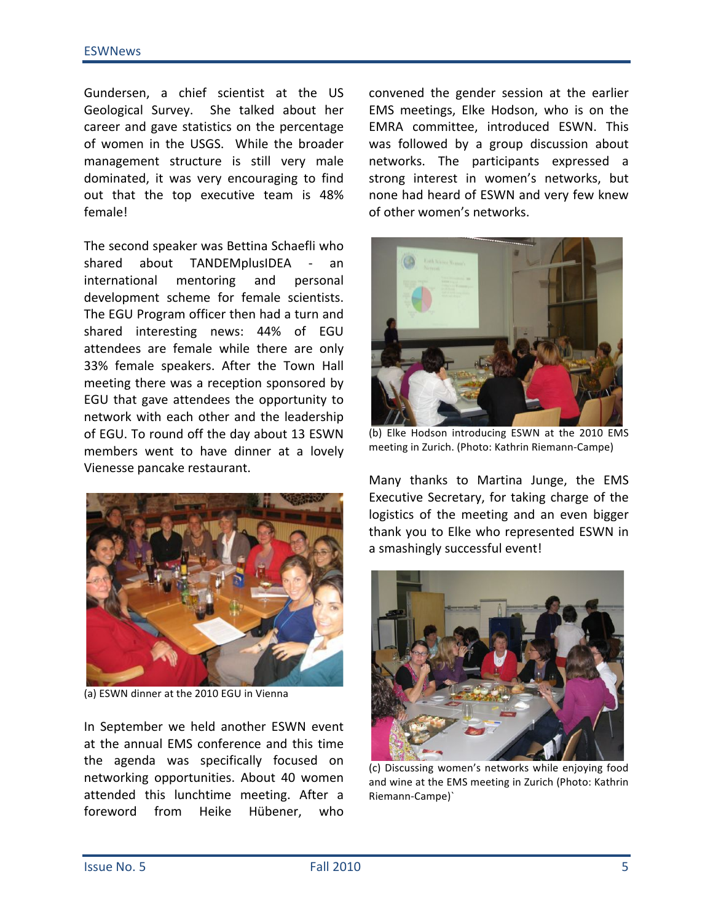Gundersen, a chief scientist at the US Geological Survey. She talked about her career and gave statistics on the percentage of women in the USGS. While the broader management structure is still very male dominated, it was very encouraging to find out that the top executive team is 48% female!

The second speaker was Bettina Schaefli who about TANDEMplusIDEA shared  $\sim 10^{-10}$ an international mentoring and personal development scheme for female scientists. The EGU Program officer then had a turn and shared interesting news: 44% of EGU attendees are female while there are only 33% female speakers. After the Town Hall meeting there was a reception sponsored by EGU that gave attendees the opportunity to network with each other and the leadership of EGU. To round off the day about 13 ESWN members went to have dinner at a lovely Vienesse pancake restaurant.



(a) ESWN dinner at the 2010 EGU in Vienna

In September we held another ESWN event at the annual EMS conference and this time the agenda was specifically focused on networking opportunities. About 40 women attended this lunchtime meeting. After a foreword from Heike Hübener, who

convened the gender session at the earlier EMS meetings, Elke Hodson, who is on the EMRA committee, introduced ESWN. This was followed by a group discussion about networks. The participants expressed a strong interest in women's networks, but none had heard of ESWN and very few knew of other women's networks.



(b) Elke Hodson introducing ESWN at the 2010 EMS meeting in Zurich. (Photo: Kathrin Riemann-Campe)

Many thanks to Martina Junge, the EMS Executive Secretary, for taking charge of the logistics of the meeting and an even bigger thank you to Elke who represented ESWN in a smashingly successful event!



(c) Discussing women's networks while enjoying food and wine at the EMS meeting in Zurich (Photo: Kathrin Riemann-Campe)'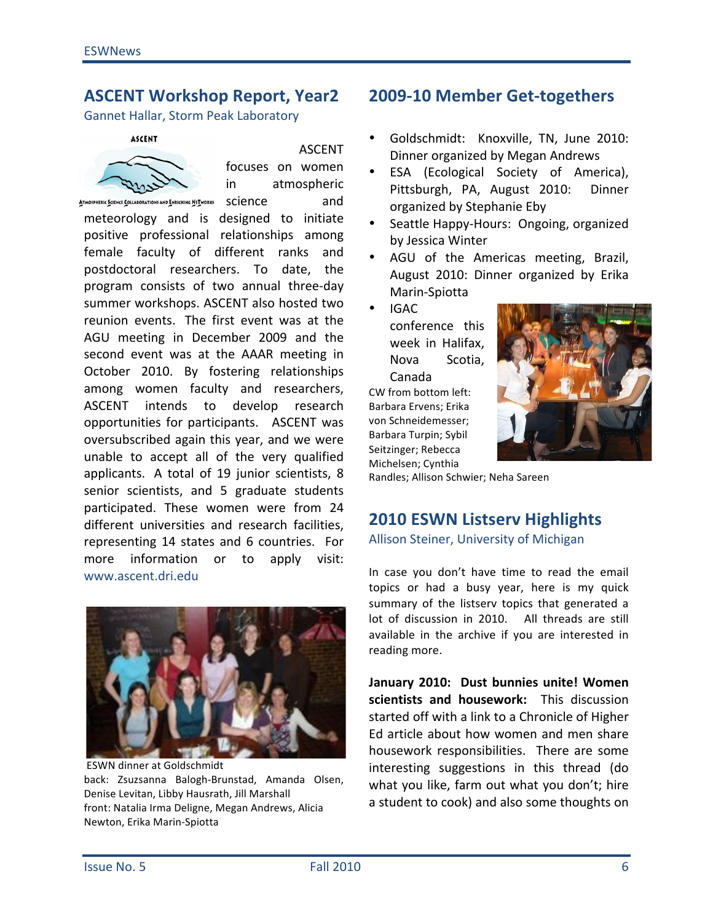#### **ASCENT Workshop Report, Year2**

Gannet Hallar, Storm Peak Laboratory

#### **ASCENT**



#### **ASCENT**

focuses on women in atmospheric ATMOSPHERIC SCIENCE COLLABORATIONS AND ENRICHING NETWORKS SCIENCE and

meteorology and is designed to initiate positive professional relationships among female faculty of different ranks and postdoctoral researchers. To date, the program consists of two annual three-day summer workshops. ASCENT also hosted two reunion events. The first event was at the AGU meeting in December 2009 and the second event was at the AAAR meeting in October 2010. By fostering relationships among women faculty and researchers, ASCENT intends to develop research opportunities for participants. ASCENT was oversubscribed again this year, and we were unable to accept all of the very qualified applicants. A total of 19 junior scientists, 8 senior scientists, and 5 graduate students participated. These women were from 24 different universities and research facilities, representing 14 states and 6 countries. For more information or to apply visit: www.ascent.dri.edu



**ESWN dinner at Goldschmidt** back: Zsuzsanna Balogh-Brunstad, Amanda Olsen, Denise Levitan, Libby Hausrath, Jill Marshall front: Natalia Irma Deligne, Megan Andrews, Alicia Newton, Erika Marin-Spiotta

## 2009-10 Member Get-togethers

- Goldschmidt: Knoxville, TN, June 2010: Dinner organized by Megan Andrews
- ESA (Ecological Society of America), Pittsburgh, PA, August 2010: **Dinner** organized by Stephanie Eby
- Seattle Happy-Hours: Ongoing, organized by Jessica Winter
- AGU of the Americas meeting, Brazil, August 2010: Dinner organized by Erika Marin-Spiotta
- **IGAC** conference this week in Halifax. **Nova** Scotia. Canada

CW from bottom left: Barbara Ervens: Erika von Schneidemesser; Barbara Turpin; Sybil Seitzinger; Rebecca Michelsen; Cynthia



Randles; Allison Schwier; Neha Sareen

### **2010 ESWN Listserv Highlights**

#### Allison Steiner, University of Michigan

In case you don't have time to read the email topics or had a busy year, here is my quick summary of the listsery topics that generated a lot of discussion in 2010. All threads are still available in the archive if you are interested in reading more.

January 2010: Dust bunnies unite! Women scientists and housework: This discussion started off with a link to a Chronicle of Higher Ed article about how women and men share housework responsibilities. There are some interesting suggestions in this thread (do what you like, farm out what you don't; hire a student to cook) and also some thoughts on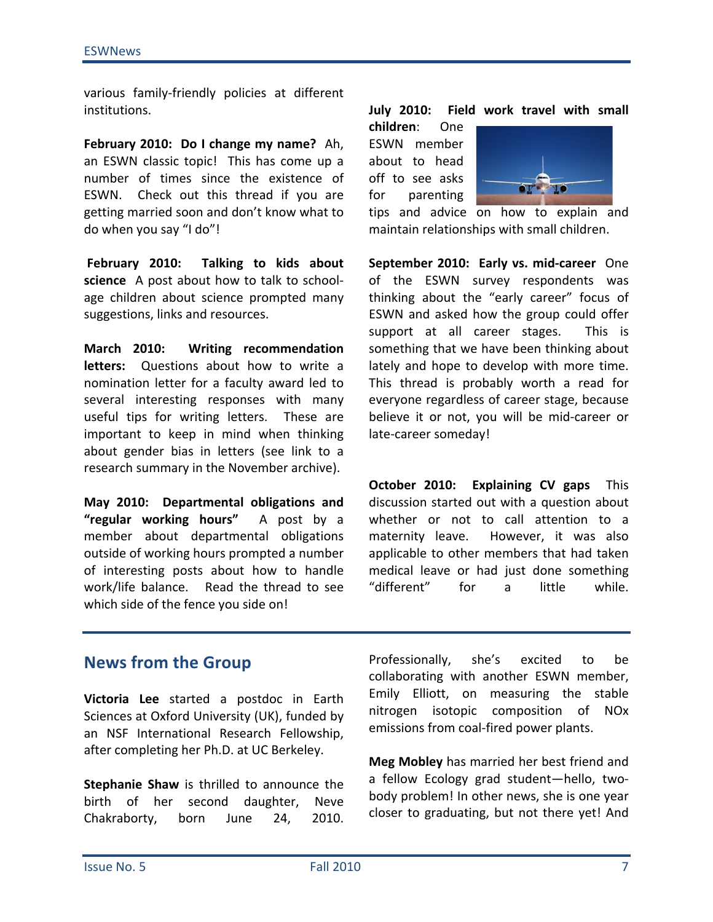various family-friendly policies at different institutions.

February 2010: Do I change my name? Ah, an ESWN classic topic! This has come up a number of times since the existence of ESWN. Check out this thread if you are getting married soon and don't know what to do when you say "I do"!

February 2010: Talking to kids about science A post about how to talk to schoolage children about science prompted many suggestions, links and resources.

**March 2010:** Writing recommendation letters: Questions about how to write a nomination letter for a faculty award led to several interesting responses with many useful tips for writing letters. These are important to keep in mind when thinking about gender bias in letters (see link to a research summary in the November archive).

May 2010: Departmental obligations and "regular working hours" A post by a member about departmental obligations outside of working hours prompted a number of interesting posts about how to handle work/life balance. Read the thread to see which side of the fence you side on!

Field work travel with small **July 2010:** 

children: One FSWN member about to head off to see asks for parenting



tips and advice on how to explain and maintain relationships with small children.

September 2010: Early vs. mid-career One of the ESWN survey respondents was thinking about the "early career" focus of ESWN and asked how the group could offer support at all career stages. This is something that we have been thinking about lately and hope to develop with more time. This thread is probably worth a read for everyone regardless of career stage, because believe it or not, you will be mid-career or late-career someday!

October 2010: Explaining CV gaps This discussion started out with a question about whether or not to call attention to a maternity leave. However, it was also applicable to other members that had taken medical leave or had just done something "different" for  $\mathbf{a}$ little while.

## **News from the Group**

Victoria Lee started a postdoc in Earth Sciences at Oxford University (UK), funded by an NSF International Research Fellowship, after completing her Ph.D. at UC Berkeley.

Stephanie Shaw is thrilled to announce the birth of her second daughter, **Neve** Chakraborty, 24, 2010. born June

Professionally, she's excited to he collaborating with another ESWN member, Emily Elliott, on measuring the stable nitrogen isotopic composition of NOx emissions from coal-fired power plants.

Meg Mobley has married her best friend and a fellow Ecology grad student-hello, twobody problem! In other news, she is one year closer to graduating, but not there yet! And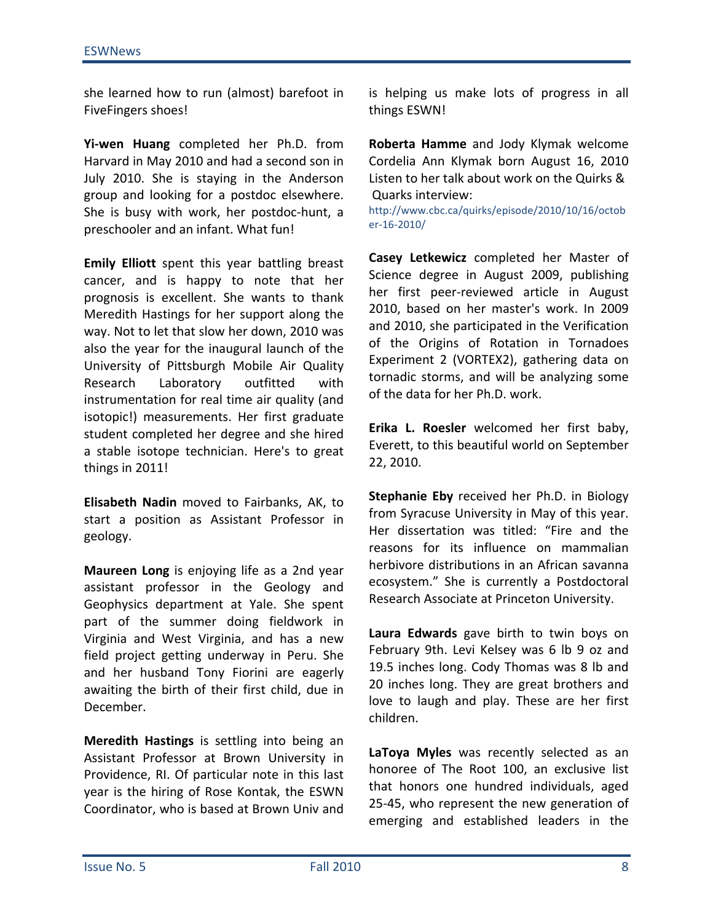she learned how to run (almost) barefoot in FiveFingers shoes!

Yi-wen Huang completed her Ph.D. from Harvard in May 2010 and had a second son in July 2010. She is staying in the Anderson group and looking for a postdoc elsewhere. She is busy with work, her postdoc-hunt, a preschooler and an infant. What fun!

Emily Elliott spent this year battling breast cancer, and is happy to note that her prognosis is excellent. She wants to thank Meredith Hastings for her support along the way. Not to let that slow her down, 2010 was also the year for the inaugural launch of the University of Pittsburgh Mobile Air Quality Laboratory outfitted Research with instrumentation for real time air quality (and isotopic!) measurements. Her first graduate student completed her degree and she hired a stable isotope technician. Here's to great things in 2011!

Elisabeth Nadin moved to Fairbanks, AK, to start a position as Assistant Professor in geology.

Maureen Long is enjoying life as a 2nd year assistant professor in the Geology and Geophysics department at Yale. She spent part of the summer doing fieldwork in Virginia and West Virginia, and has a new field project getting underway in Peru. She and her husband Tony Fiorini are eagerly awaiting the birth of their first child, due in December.

Meredith Hastings is settling into being an Assistant Professor at Brown University in Providence, RI. Of particular note in this last year is the hiring of Rose Kontak, the ESWN Coordinator, who is based at Brown Univ and is helping us make lots of progress in all things ESWN!

Roberta Hamme and Jody Klymak welcome Cordelia Ann Klymak born August 16, 2010 Listen to her talk about work on the Quirks & Quarks interview:

http://www.cbc.ca/quirks/episode/2010/10/16/octob er-16-2010/

Casey Letkewicz completed her Master of Science degree in August 2009, publishing her first peer-reviewed article in August 2010. based on her master's work. In 2009 and 2010, she participated in the Verification of the Origins of Rotation in Tornadoes Experiment 2 (VORTEX2), gathering data on tornadic storms, and will be analyzing some of the data for her Ph.D. work.

Erika L. Roesler welcomed her first baby, Everett, to this beautiful world on September 22, 2010.

**Stephanie Eby** received her Ph.D. in Biology from Syracuse University in May of this year. Her dissertation was titled: "Fire and the reasons for its influence on mammalian herbivore distributions in an African savanna ecosystem." She is currently a Postdoctoral Research Associate at Princeton University.

Laura Edwards gave birth to twin boys on February 9th. Levi Kelsey was 6 lb 9 oz and 19.5 inches long. Cody Thomas was 8 lb and 20 inches long. They are great brothers and love to laugh and play. These are her first children.

LaToya Myles was recently selected as an honoree of The Root 100, an exclusive list that honors one hundred individuals, aged 25-45, who represent the new generation of emerging and established leaders in the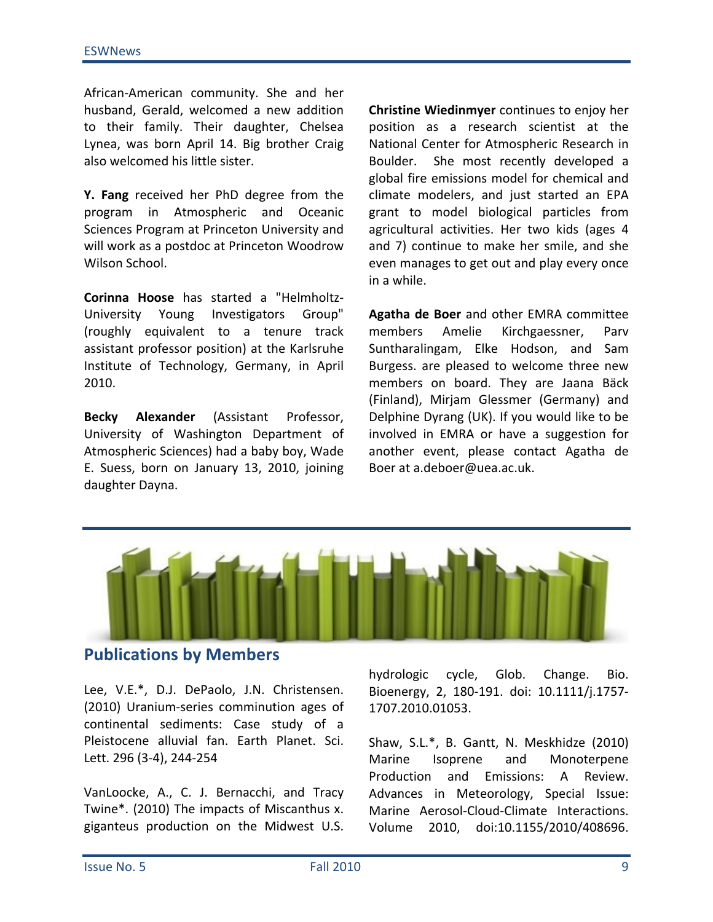African-American community. She and her husband, Gerald, welcomed a new addition to their family. Their daughter, Chelsea Lynea, was born April 14. Big brother Craig also welcomed his little sister.

Y. Fang received her PhD degree from the program in Atmospheric and Oceanic Sciences Program at Princeton University and will work as a postdoc at Princeton Woodrow Wilson School.

Corinna Hoose has started a "Helmholtz-University Young Investigators Group" (roughly equivalent to a tenure track assistant professor position) at the Karlsruhe Institute of Technology, Germany, in April 2010.

Alexander **Becky** (Assistant Professor, University of Washington Department of Atmospheric Sciences) had a baby boy, Wade E. Suess, born on January 13, 2010, joining daughter Dayna.

Christine Wiedinmyer continues to enjoy her position as a research scientist at the National Center for Atmospheric Research in Boulder. She most recently developed a global fire emissions model for chemical and climate modelers, and just started an EPA grant to model biological particles from agricultural activities. Her two kids (ages 4 and 7) continue to make her smile, and she even manages to get out and play every once in a while.

Agatha de Boer and other EMRA committee members Amelie Kirchgaessner, Parv Suntharalingam, Elke Hodson, and Sam Burgess. are pleased to welcome three new members on board. They are Jaana Bäck (Finland), Mirjam Glessmer (Germany) and Delphine Dyrang (UK). If you would like to be involved in EMRA or have a suggestion for another event, please contact Agatha de Boer at a.deboer@uea.ac.uk.



## **Publications by Members**

Lee, V.E.\*, D.J. DePaolo, J.N. Christensen. (2010) Uranium-series comminution ages of continental sediments: Case study of a Pleistocene alluvial fan. Earth Planet. Sci. Lett. 296 (3-4), 244-254

VanLoocke, A., C. J. Bernacchi, and Tracy Twine\*. (2010) The impacts of Miscanthus x. giganteus production on the Midwest U.S.

Glob. Change. hydrologic cycle, Bio. Bioenergy, 2, 180-191. doi: 10.1111/j.1757-1707.2010.01053.

Shaw, S.L.\*, B. Gantt, N. Meskhidze (2010) Marine Isoprene and Monoterpene Production and Emissions: A Review. Advances in Meteorology, Special Issue: Marine Aerosol-Cloud-Climate Interactions. Volume 2010, doi:10.1155/2010/408696.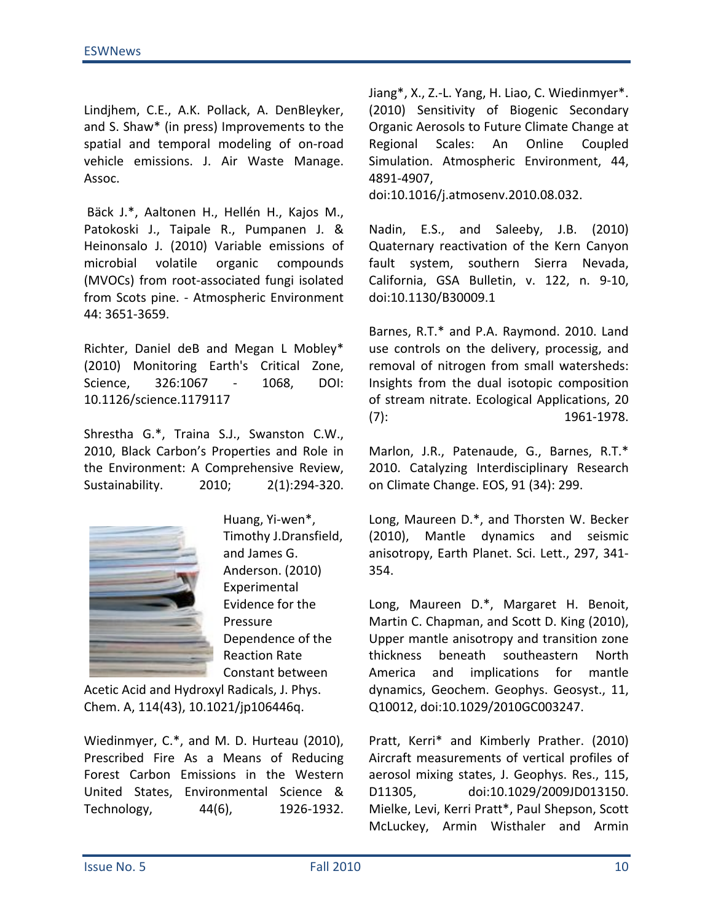Lindjhem, C.E., A.K. Pollack, A. DenBleyker, and S. Shaw\* (in press) Improvements to the spatial and temporal modeling of on-road vehicle emissions. J. Air Waste Manage. Assoc.

Bäck J.\*, Aaltonen H., Hellén H., Kajos M., Patokoski J., Taipale R., Pumpanen J. & Heinonsalo J. (2010) Variable emissions of microbial volatile organic compounds (MVOCs) from root-associated fungi isolated from Scots pine. - Atmospheric Environment 44: 3651-3659.

Richter, Daniel deB and Megan L Mobley\* (2010) Monitoring Earth's Critical Zone, Science, 326:1067 1068, DOI: 10.1126/science.1179117

Shrestha G.\*, Traina S.J., Swanston C.W., 2010, Black Carbon's Properties and Role in the Environment: A Comprehensive Review, Sustainability.  $2010;$  $2(1):294-320.$ 



Huang, Yi-wen\*, Timothy J.Dransfield, and James G. Anderson. (2010) Experimental Evidence for the Pressure Dependence of the **Reaction Rate** Constant between

Acetic Acid and Hydroxyl Radicals, J. Phys. Chem. A, 114(43), 10.1021/jp106446q.

Wiedinmyer, C.\*, and M. D. Hurteau (2010), Prescribed Fire As a Means of Reducing Forest Carbon Emissions in the Western United States, Environmental Science & Technology, 44(6), 1926-1932. Jiang\*, X., Z.-L. Yang, H. Liao, C. Wiedinmyer\*. (2010) Sensitivity of Biogenic Secondary Organic Aerosols to Future Climate Change at Scales: An Online Regional Coupled Simulation. Atmospheric Environment, 44, 4891-4907,

doi:10.1016/j.atmosenv.2010.08.032.

Nadin, E.S., and Saleeby, J.B. (2010) Quaternary reactivation of the Kern Canyon fault system, southern Sierra Nevada, California, GSA Bulletin, v. 122, n. 9-10, doi:10.1130/B30009.1

Barnes, R.T.\* and P.A. Raymond. 2010. Land use controls on the delivery, processig, and removal of nitrogen from small watersheds: Insights from the dual isotopic composition of stream nitrate. Ecological Applications, 20  $(7)$ : 1961-1978.

Marlon, J.R., Patenaude, G., Barnes, R.T.\* 2010. Catalyzing Interdisciplinary Research on Climate Change. EOS, 91 (34): 299.

Long, Maureen D.\*, and Thorsten W. Becker (2010), Mantle dynamics and seismic anisotropy, Earth Planet. Sci. Lett., 297, 341-354.

Long, Maureen D.\*, Margaret H. Benoit, Martin C. Chapman, and Scott D. King (2010), Upper mantle anisotropy and transition zone thickness beneath southeastern North America and implications for mantle dynamics, Geochem. Geophys. Geosyst., 11, Q10012, doi:10.1029/2010GC003247.

Pratt, Kerri\* and Kimberly Prather. (2010) Aircraft measurements of vertical profiles of aerosol mixing states, J. Geophys. Res., 115, doi:10.1029/2009JD013150. D11305, Mielke, Levi, Kerri Pratt\*, Paul Shepson, Scott McLuckey, Armin Wisthaler and Armin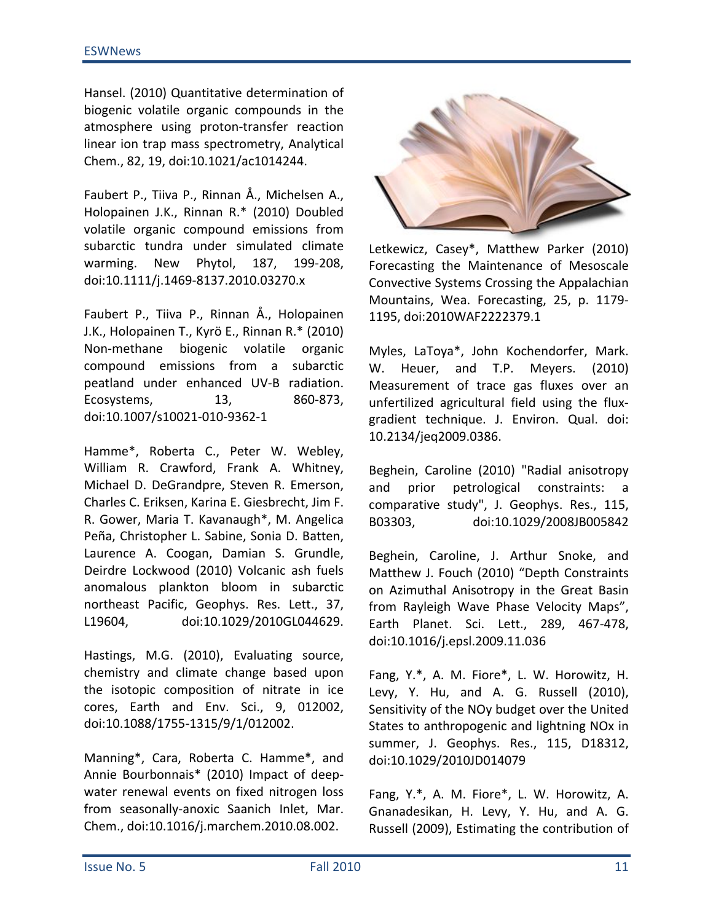Hansel. (2010) Quantitative determination of biogenic volatile organic compounds in the atmosphere using proton-transfer reaction linear ion trap mass spectrometry, Analytical Chem., 82, 19, doi:10.1021/ac1014244.

Faubert P., Tiiva P., Rinnan Å., Michelsen A., Holopainen J.K., Rinnan R.\* (2010) Doubled volatile organic compound emissions from subarctic tundra under simulated climate warming. New Phytol, 187, 199-208, doi:10.1111/j.1469-8137.2010.03270.x

Faubert P., Tiiva P., Rinnan Å., Holopainen J.K., Holopainen T., Kyrö E., Rinnan R.\* (2010) Non-methane biogenic volatile organic compound emissions from a subarctic peatland under enhanced UV-B radiation.  $13,$ 860-873, Ecosystems, doi:10.1007/s10021-010-9362-1

Hamme\*, Roberta C., Peter W. Webley, William R. Crawford, Frank A. Whitney, Michael D. DeGrandpre, Steven R. Emerson, Charles C. Eriksen, Karina E. Giesbrecht, Jim F. R. Gower, Maria T. Kavanaugh\*, M. Angelica Peña, Christopher L. Sabine, Sonia D. Batten, Laurence A. Coogan, Damian S. Grundle, Deirdre Lockwood (2010) Volcanic ash fuels anomalous plankton bloom in subarctic northeast Pacific, Geophys. Res. Lett., 37, L19604, doi:10.1029/2010GL044629.

Hastings, M.G. (2010), Evaluating source, chemistry and climate change based upon the isotopic composition of nitrate in ice cores, Earth and Env. Sci., 9, 012002, doi:10.1088/1755-1315/9/1/012002.

Manning\*, Cara, Roberta C. Hamme\*, and Annie Bourbonnais\* (2010) Impact of deepwater renewal events on fixed nitrogen loss from seasonally-anoxic Saanich Inlet, Mar. Chem., doi:10.1016/j.marchem.2010.08.002.



Letkewicz, Casey\*, Matthew Parker (2010) Forecasting the Maintenance of Mesoscale Convective Systems Crossing the Appalachian Mountains, Wea. Forecasting, 25, p. 1179-1195, doi:2010WAF2222379.1

Myles, LaToya\*, John Kochendorfer, Mark. W. Heuer, and T.P. Meyers. (2010) Measurement of trace gas fluxes over an unfertilized agricultural field using the fluxgradient technique. J. Environ. Qual. doi: 10.2134/jeq2009.0386.

Beghein, Caroline (2010) "Radial anisotropy petrological constraints: and prior  $\overline{a}$ comparative study", J. Geophys. Res., 115, doi:10.1029/2008JB005842 B03303,

Beghein, Caroline, J. Arthur Snoke, and Matthew J. Fouch (2010) "Depth Constraints on Azimuthal Anisotropy in the Great Basin from Rayleigh Wave Phase Velocity Maps", Earth Planet. Sci. Lett., 289, 467-478, doi:10.1016/j.epsl.2009.11.036

Fang, Y.\*, A. M. Fiore\*, L. W. Horowitz, H. Levy, Y. Hu, and A. G. Russell (2010), Sensitivity of the NOy budget over the United States to anthropogenic and lightning NO<sub>x</sub> in summer, J. Geophys. Res., 115, D18312, doi:10.1029/2010JD014079

Fang, Y.\*, A. M. Fiore\*, L. W. Horowitz, A. Gnanadesikan, H. Levy, Y. Hu, and A. G. Russell (2009), Estimating the contribution of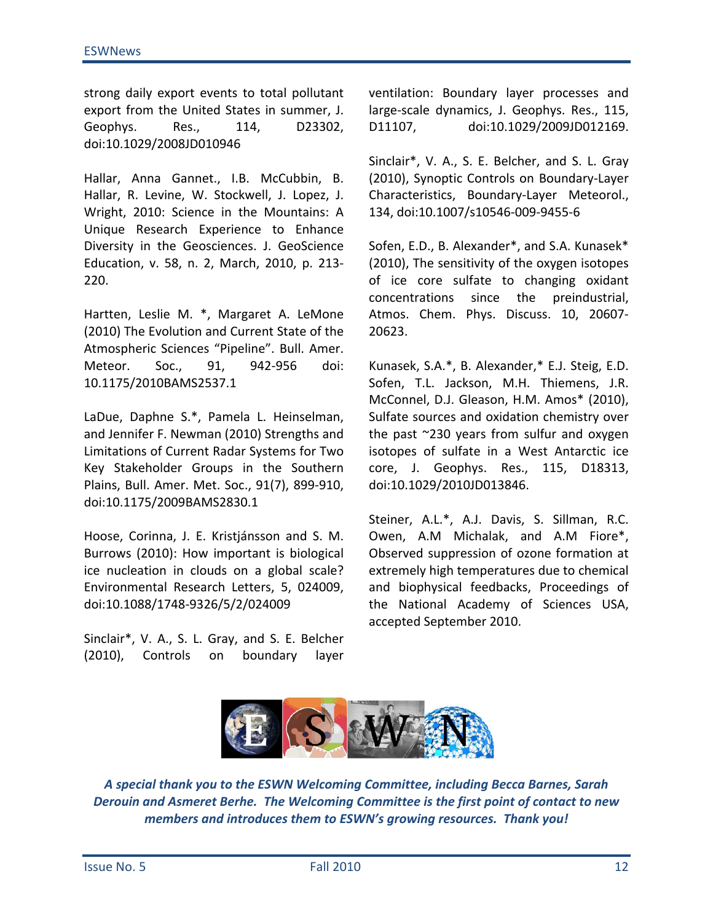strong daily export events to total pollutant export from the United States in summer, J. Geophys. Res., 114, D23302, doi:10.1029/2008JD010946

Hallar, Anna Gannet., I.B. McCubbin, B. Hallar, R. Levine, W. Stockwell, J. Lopez, J. Wright, 2010: Science in the Mountains: A Unique Research Experience to Enhance Diversity in the Geosciences. J. GeoScience Education, v. 58, n. 2, March, 2010, p. 213-220.

Hartten, Leslie M. \*, Margaret A. LeMone (2010) The Evolution and Current State of the Atmospheric Sciences "Pipeline". Bull. Amer. Meteor. Soc., 91, 942-956 doi: 10.1175/2010BAMS2537.1

LaDue, Daphne S.\*, Pamela L. Heinselman, and Jennifer F. Newman (2010) Strengths and Limitations of Current Radar Systems for Two Key Stakeholder Groups in the Southern Plains, Bull. Amer. Met. Soc., 91(7), 899-910, doi:10.1175/2009BAMS2830.1

Hoose, Corinna, J. E. Kristjánsson and S. M. Burrows (2010): How important is biological ice nucleation in clouds on a global scale? Environmental Research Letters, 5, 024009, doi:10.1088/1748-9326/5/2/024009

Sinclair\*, V. A., S. L. Gray, and S. E. Belcher  $(2010)$ , Controls boundary on layer ventilation: Boundary layer processes and large-scale dynamics, J. Geophys. Res., 115, doi:10.1029/2009JD012169. D11107,

Sinclair\*, V. A., S. E. Belcher, and S. L. Gray (2010), Synoptic Controls on Boundary-Layer Characteristics, Boundary-Layer Meteorol., 134, doi:10.1007/s10546-009-9455-6

Sofen, E.D., B. Alexander\*, and S.A. Kunasek\* (2010), The sensitivity of the oxygen isotopes of ice core sulfate to changing oxidant since the preindustrial. concentrations Atmos. Chem. Phys. Discuss. 10, 20607-20623.

Kunasek, S.A.\*, B. Alexander,\* E.J. Steig, E.D. Sofen, T.L. Jackson, M.H. Thiemens, J.R. McConnel, D.J. Gleason, H.M. Amos\* (2010), Sulfate sources and oxidation chemistry over the past ~230 years from sulfur and oxygen isotopes of sulfate in a West Antarctic ice core, J. Geophys. Res., 115, D18313, doi:10.1029/2010JD013846.

Steiner, A.L.\*, A.J. Davis, S. Sillman, R.C. Owen, A.M Michalak, and A.M Fiore\*, Observed suppression of ozone formation at extremely high temperatures due to chemical and biophysical feedbacks, Proceedings of the National Academy of Sciences USA, accepted September 2010.



A special thank you to the ESWN Welcoming Committee, including Becca Barnes, Sarah Derouin and Asmeret Berhe. The Welcoming Committee is the first point of contact to new members and introduces them to ESWN's growing resources. Thank you!